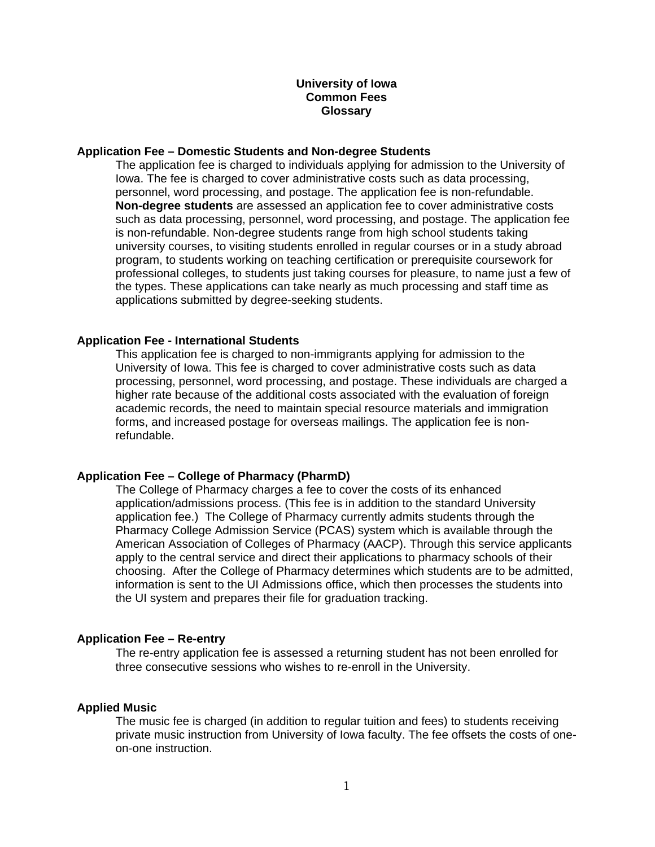## **University of Iowa Common Fees Glossary**

#### **Application Fee – Domestic Students and Non-degree Students**

 The application fee is charged to individuals applying for admission to the University of Iowa. The fee is charged to cover administrative costs such as data processing, personnel, word processing, and postage. The application fee is non-refundable. **Non-degree students** are assessed an application fee to cover administrative costs such as data processing, personnel, word processing, and postage. The application fee is non-refundable. Non-degree students range from high school students taking university courses, to visiting students enrolled in regular courses or in a study abroad program, to students working on teaching certification or prerequisite coursework for professional colleges, to students just taking courses for pleasure, to name just a few of the types. These applications can take nearly as much processing and staff time as applications submitted by degree-seeking students.

## **Application Fee - International Students**

This application fee is charged to non-immigrants applying for admission to the University of Iowa. This fee is charged to cover administrative costs such as data processing, personnel, word processing, and postage. These individuals are charged a higher rate because of the additional costs associated with the evaluation of foreign academic records, the need to maintain special resource materials and immigration forms, and increased postage for overseas mailings. The application fee is nonrefundable.

### **Application Fee – College of Pharmacy (PharmD)**

The College of Pharmacy charges a fee to cover the costs of its enhanced application/admissions process. (This fee is in addition to the standard University application fee.) The College of Pharmacy currently admits students through the Pharmacy College Admission Service (PCAS) system which is available through the American Association of Colleges of Pharmacy (AACP). Through this service applicants apply to the central service and direct their applications to pharmacy schools of their choosing. After the College of Pharmacy determines which students are to be admitted, information is sent to the UI Admissions office, which then processes the students into the UI system and prepares their file for graduation tracking.

### **Application Fee – Re-entry**

The re-entry application fee is assessed a returning student has not been enrolled for three consecutive sessions who wishes to re-enroll in the University.

# **Applied Music**

The music fee is charged (in addition to regular tuition and fees) to students receiving private music instruction from University of Iowa faculty. The fee offsets the costs of oneon-one instruction.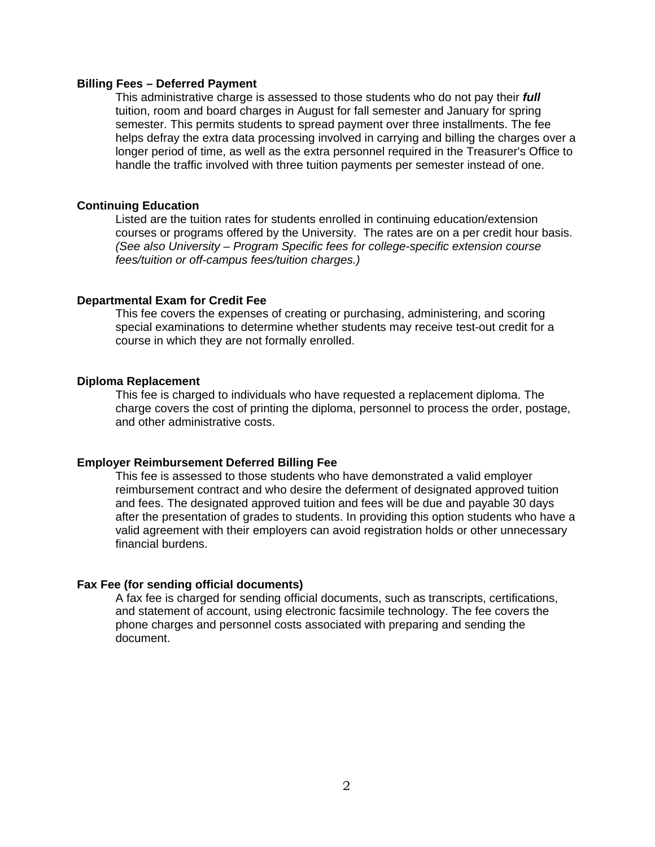#### **Billing Fees – Deferred Payment**

 This administrative charge is assessed to those students who do not pay their *full*  tuition, room and board charges in August for fall semester and January for spring semester. This permits students to spread payment over three installments. The fee helps defray the extra data processing involved in carrying and billing the charges over a longer period of time, as well as the extra personnel required in the Treasurer's Office to handle the traffic involved with three tuition payments per semester instead of one.

## **Continuing Education**

Listed are the tuition rates for students enrolled in continuing education/extension courses or programs offered by the University. The rates are on a per credit hour basis. *(See also University – Program Specific fees for college-specific extension course fees/tuition or off-campus fees/tuition charges.)* 

## **Departmental Exam for Credit Fee**

 This fee covers the expenses of creating or purchasing, administering, and scoring special examinations to determine whether students may receive test-out credit for a course in which they are not formally enrolled.

## **Diploma Replacement**

This fee is charged to individuals who have requested a replacement diploma. The charge covers the cost of printing the diploma, personnel to process the order, postage, and other administrative costs.

#### **Employer Reimbursement Deferred Billing Fee**

This fee is assessed to those students who have demonstrated a valid employer reimbursement contract and who desire the deferment of designated approved tuition and fees. The designated approved tuition and fees will be due and payable 30 days after the presentation of grades to students. In providing this option students who have a valid agreement with their employers can avoid registration holds or other unnecessary financial burdens.

#### **Fax Fee (for sending official documents)**

A fax fee is charged for sending official documents, such as transcripts, certifications, and statement of account, using electronic facsimile technology. The fee covers the phone charges and personnel costs associated with preparing and sending the document.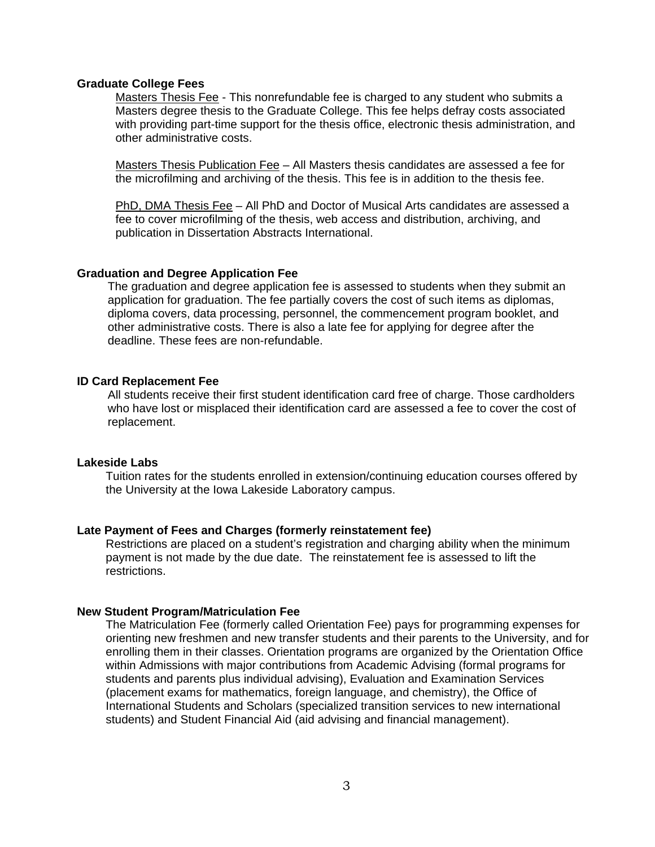## **Graduate College Fees**

 Masters Thesis Fee - This nonrefundable fee is charged to any student who submits a Masters degree thesis to the Graduate College. This fee helps defray costs associated with providing part-time support for the thesis office, electronic thesis administration, and other administrative costs.

 Masters Thesis Publication Fee – All Masters thesis candidates are assessed a fee for the microfilming and archiving of the thesis. This fee is in addition to the thesis fee.

PhD, DMA Thesis Fee – All PhD and Doctor of Musical Arts candidates are assessed a fee to cover microfilming of the thesis, web access and distribution, archiving, and publication in Dissertation Abstracts International.

#### **Graduation and Degree Application Fee**

The graduation and degree application fee is assessed to students when they submit an application for graduation. The fee partially covers the cost of such items as diplomas, diploma covers, data processing, personnel, the commencement program booklet, and other administrative costs. There is also a late fee for applying for degree after the deadline. These fees are non-refundable.

## **ID Card Replacement Fee**

All students receive their first student identification card free of charge. Those cardholders who have lost or misplaced their identification card are assessed a fee to cover the cost of replacement.

#### **Lakeside Labs**

Tuition rates for the students enrolled in extension/continuing education courses offered by the University at the Iowa Lakeside Laboratory campus.

## **Late Payment of Fees and Charges (formerly reinstatement fee)**

Restrictions are placed on a student's registration and charging ability when the minimum payment is not made by the due date. The reinstatement fee is assessed to lift the restrictions.

## **New Student Program/Matriculation Fee**

The Matriculation Fee (formerly called Orientation Fee) pays for programming expenses for orienting new freshmen and new transfer students and their parents to the University, and for enrolling them in their classes. Orientation programs are organized by the Orientation Office within Admissions with major contributions from Academic Advising (formal programs for students and parents plus individual advising), Evaluation and Examination Services (placement exams for mathematics, foreign language, and chemistry), the Office of International Students and Scholars (specialized transition services to new international students) and Student Financial Aid (aid advising and financial management).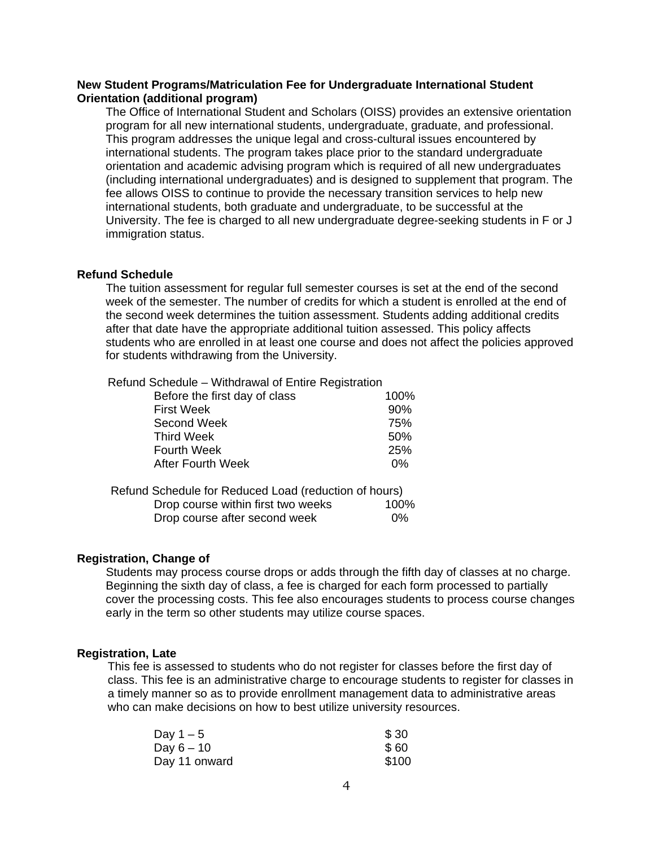## **New Student Programs/Matriculation Fee for Undergraduate International Student Orientation (additional program)**

The Office of International Student and Scholars (OISS) provides an extensive orientation program for all new international students, undergraduate, graduate, and professional. This program addresses the unique legal and cross-cultural issues encountered by international students. The program takes place prior to the standard undergraduate orientation and academic advising program which is required of all new undergraduates (including international undergraduates) and is designed to supplement that program. The fee allows OISS to continue to provide the necessary transition services to help new international students, both graduate and undergraduate, to be successful at the University. The fee is charged to all new undergraduate degree-seeking students in F or J immigration status.

### **Refund Schedule**

 The tuition assessment for regular full semester courses is set at the end of the second week of the semester. The number of credits for which a student is enrolled at the end of the second week determines the tuition assessment. Students adding additional credits after that date have the appropriate additional tuition assessed. This policy affects students who are enrolled in at least one course and does not affect the policies approved for students withdrawing from the University.

Refund Schedule – Withdrawal of Entire Registration

| Before the first day of class | 100%  |
|-------------------------------|-------|
| <b>First Week</b>             | 90%   |
| Second Week                   | 75%   |
| <b>Third Week</b>             | 50%   |
| <b>Fourth Week</b>            | 25%   |
| <b>After Fourth Week</b>      | $0\%$ |
|                               |       |

| Refund Schedule for Reduced Load (reduction of hours) |       |
|-------------------------------------------------------|-------|
| Drop course within first two weeks                    | 100%  |
| Drop course after second week                         | $0\%$ |

## **Registration, Change of**

 Students may process course drops or adds through the fifth day of classes at no charge. Beginning the sixth day of class, a fee is charged for each form processed to partially cover the processing costs. This fee also encourages students to process course changes early in the term so other students may utilize course spaces.

### **Registration, Late**

This fee is assessed to students who do not register for classes before the first day of class. This fee is an administrative charge to encourage students to register for classes in a timely manner so as to provide enrollment management data to administrative areas who can make decisions on how to best utilize university resources.

| Day $1-5$     | \$30  |
|---------------|-------|
| Day $6-10$    | \$60  |
| Day 11 onward | \$100 |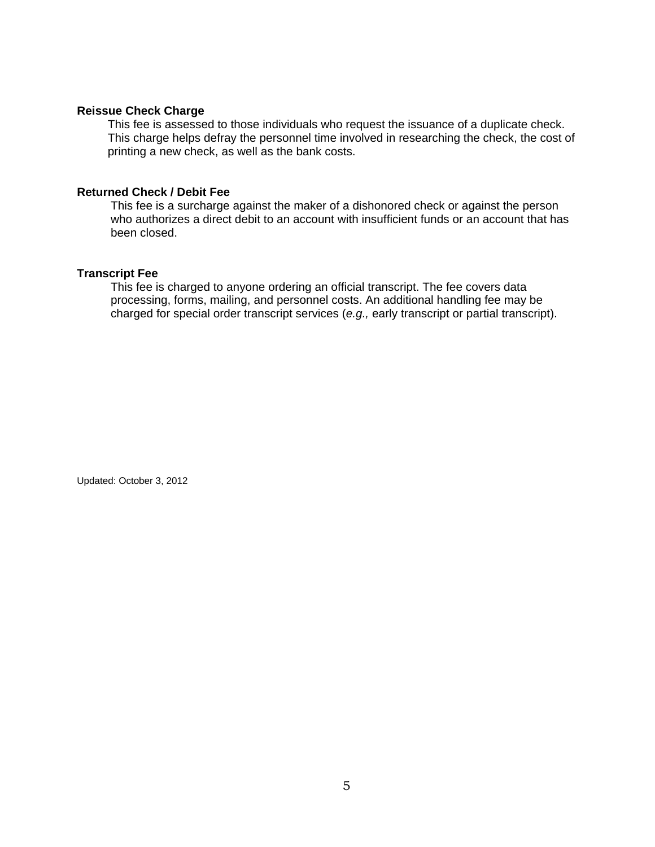## **Reissue Check Charge**

This fee is assessed to those individuals who request the issuance of a duplicate check. This charge helps defray the personnel time involved in researching the check, the cost of printing a new check, as well as the bank costs.

## **Returned Check / Debit Fee**

 This fee is a surcharge against the maker of a dishonored check or against the person who authorizes a direct debit to an account with insufficient funds or an account that has been closed.

## **Transcript Fee**

This fee is charged to anyone ordering an official transcript. The fee covers data processing, forms, mailing, and personnel costs. An additional handling fee may be charged for special order transcript services (*e.g.,* early transcript or partial transcript).

Updated: October 3, 2012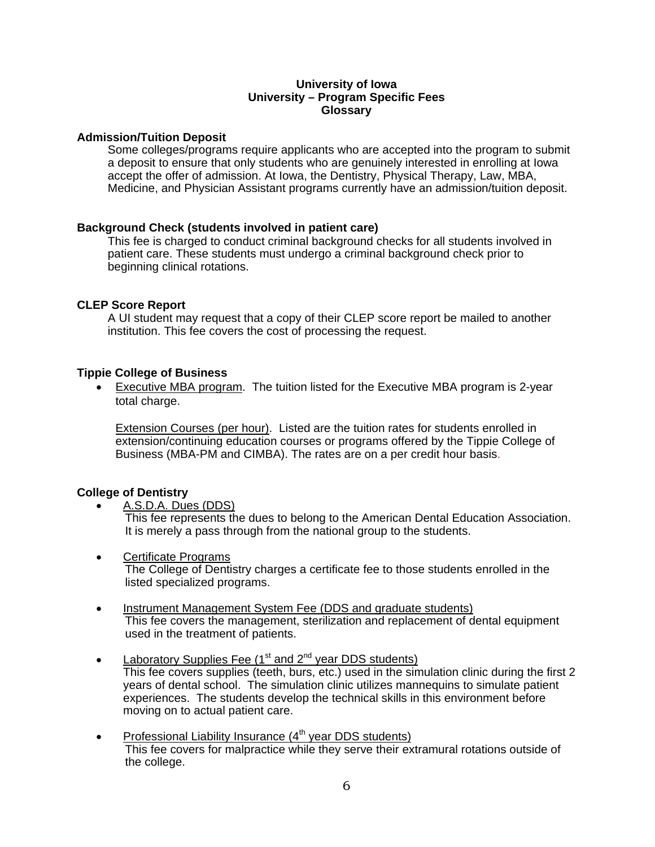## **University of Iowa University – Program Specific Fees Glossary**

## **Admission/Tuition Deposit**

Some colleges/programs require applicants who are accepted into the program to submit a deposit to ensure that only students who are genuinely interested in enrolling at Iowa accept the offer of admission. At Iowa, the Dentistry, Physical Therapy, Law, MBA, Medicine, and Physician Assistant programs currently have an admission/tuition deposit.

## **Background Check (students involved in patient care)**

This fee is charged to conduct criminal background checks for all students involved in patient care. These students must undergo a criminal background check prior to beginning clinical rotations.

## **CLEP Score Report**

A UI student may request that a copy of their CLEP score report be mailed to another institution. This fee covers the cost of processing the request.

## **Tippie College of Business**

• Executive MBA program. The tuition listed for the Executive MBA program is 2-year total charge.

Extension Courses (per hour). Listed are the tuition rates for students enrolled in extension/continuing education courses or programs offered by the Tippie College of Business (MBA-PM and CIMBA). The rates are on a per credit hour basis.

## **College of Dentistry**

A.S.D.A. Dues (DDS)

This fee represents the dues to belong to the American Dental Education Association. It is merely a pass through from the national group to the students.

- Certificate Programs The College of Dentistry charges a certificate fee to those students enrolled in the listed specialized programs.
- Instrument Management System Fee (DDS and graduate students) This fee covers the management, sterilization and replacement of dental equipment used in the treatment of patients.
- Laboratory Supplies Fee ( $1<sup>st</sup>$  and  $2<sup>nd</sup>$  year DDS students) This fee covers supplies (teeth, burs, etc.) used in the simulation clinic during the first 2 years of dental school. The simulation clinic utilizes mannequins to simulate patient experiences. The students develop the technical skills in this environment before moving on to actual patient care.
- Professional Liability Insurance  $(4<sup>th</sup>$  year DDS students) This fee covers for malpractice while they serve their extramural rotations outside of the college.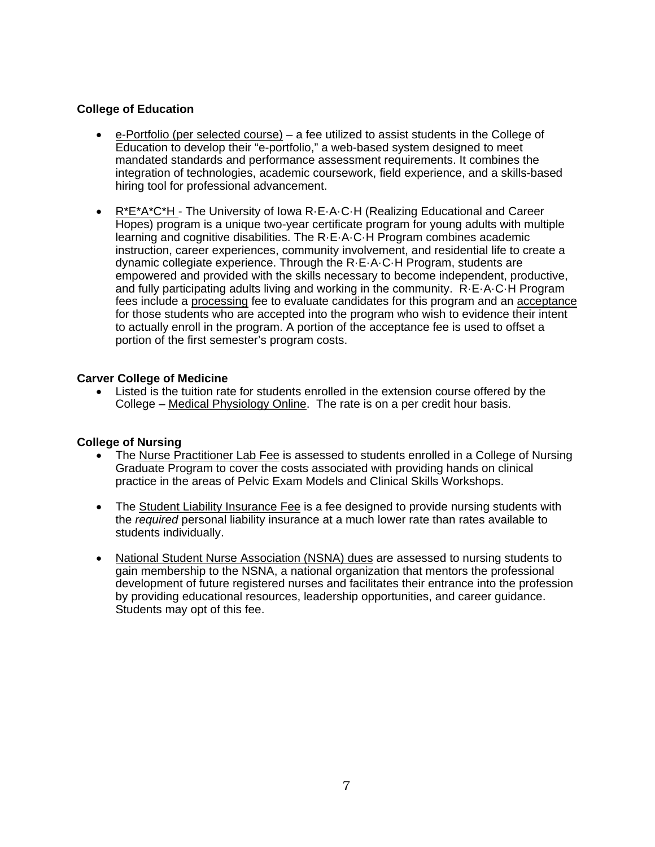# **College of Education**

- e-Portfolio (per selected course) a fee utilized to assist students in the College of Education to develop their "e-portfolio," a web-based system designed to meet mandated standards and performance assessment requirements. It combines the integration of technologies, academic coursework, field experience, and a skills-based hiring tool for professional advancement.
- R\*E\*A\*C\*H The University of Iowa R·E·A·C·H (Realizing Educational and Career Hopes) program is a unique two-year certificate program for young adults with multiple learning and cognitive disabilities. The R·E·A·C·H Program combines academic instruction, career experiences, community involvement, and residential life to create a dynamic collegiate experience. Through the R·E·A·C·H Program, students are empowered and provided with the skills necessary to become independent, productive, and fully participating adults living and working in the community. R·E·A·C·H Program fees include a processing fee to evaluate candidates for this program and an acceptance for those students who are accepted into the program who wish to evidence their intent to actually enroll in the program. A portion of the acceptance fee is used to offset a portion of the first semester's program costs.

# **Carver College of Medicine**

 Listed is the tuition rate for students enrolled in the extension course offered by the College – Medical Physiology Online. The rate is on a per credit hour basis.

# **College of Nursing**

- The Nurse Practitioner Lab Fee is assessed to students enrolled in a College of Nursing Graduate Program to cover the costs associated with providing hands on clinical practice in the areas of Pelvic Exam Models and Clinical Skills Workshops.
- The Student Liability Insurance Fee is a fee designed to provide nursing students with the *required* personal liability insurance at a much lower rate than rates available to students individually.
- National Student Nurse Association (NSNA) dues are assessed to nursing students to gain membership to the NSNA, a national organization that mentors the professional development of future registered nurses and facilitates their entrance into the profession by providing educational resources, leadership opportunities, and career guidance. Students may opt of this fee.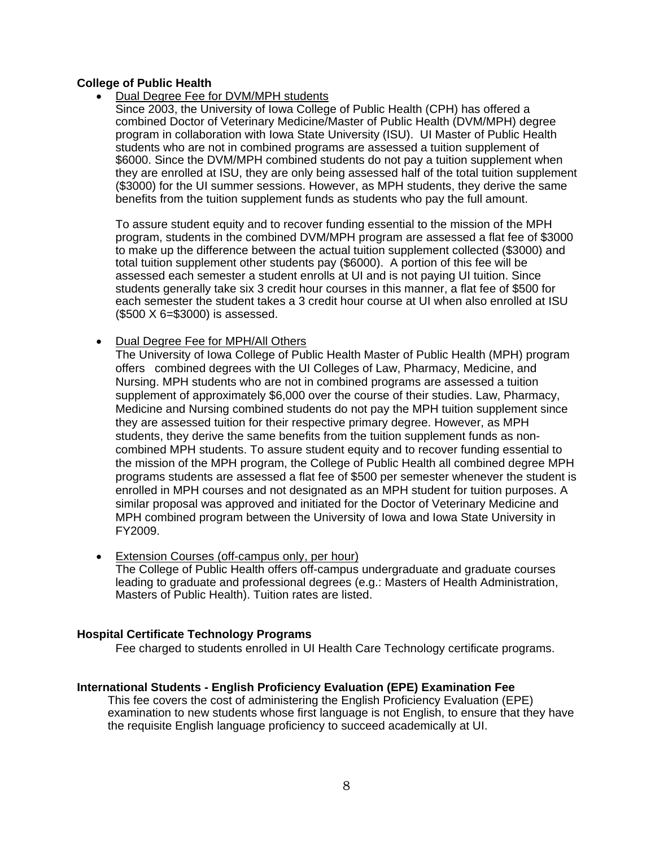# **College of Public Health**

- Dual Degree Fee for DVM/MPH students
	- Since 2003, the University of Iowa College of Public Health (CPH) has offered a combined Doctor of Veterinary Medicine/Master of Public Health (DVM/MPH) degree program in collaboration with Iowa State University (ISU). UI Master of Public Health students who are not in combined programs are assessed a tuition supplement of \$6000. Since the DVM/MPH combined students do not pay a tuition supplement when they are enrolled at ISU, they are only being assessed half of the total tuition supplement (\$3000) for the UI summer sessions. However, as MPH students, they derive the same benefits from the tuition supplement funds as students who pay the full amount.

To assure student equity and to recover funding essential to the mission of the MPH program, students in the combined DVM/MPH program are assessed a flat fee of \$3000 to make up the difference between the actual tuition supplement collected (\$3000) and total tuition supplement other students pay (\$6000). A portion of this fee will be assessed each semester a student enrolls at UI and is not paying UI tuition. Since students generally take six 3 credit hour courses in this manner, a flat fee of \$500 for each semester the student takes a 3 credit hour course at UI when also enrolled at ISU (\$500 X 6=\$3000) is assessed.

Dual Degree Fee for MPH/All Others

The University of Iowa College of Public Health Master of Public Health (MPH) program offers combined degrees with the UI Colleges of Law, Pharmacy, Medicine, and Nursing. MPH students who are not in combined programs are assessed a tuition supplement of approximately \$6,000 over the course of their studies. Law, Pharmacy, Medicine and Nursing combined students do not pay the MPH tuition supplement since they are assessed tuition for their respective primary degree. However, as MPH students, they derive the same benefits from the tuition supplement funds as noncombined MPH students. To assure student equity and to recover funding essential to the mission of the MPH program, the College of Public Health all combined degree MPH programs students are assessed a flat fee of \$500 per semester whenever the student is enrolled in MPH courses and not designated as an MPH student for tuition purposes. A similar proposal was approved and initiated for the Doctor of Veterinary Medicine and MPH combined program between the University of Iowa and Iowa State University in FY2009.

• Extension Courses (off-campus only, per hour) The College of Public Health offers off-campus undergraduate and graduate courses leading to graduate and professional degrees (e.g.: Masters of Health Administration, Masters of Public Health). Tuition rates are listed.

# **Hospital Certificate Technology Programs**

Fee charged to students enrolled in UI Health Care Technology certificate programs.

# **International Students - English Proficiency Evaluation (EPE) Examination Fee**

This fee covers the cost of administering the English Proficiency Evaluation (EPE) examination to new students whose first language is not English, to ensure that they have the requisite English language proficiency to succeed academically at UI.